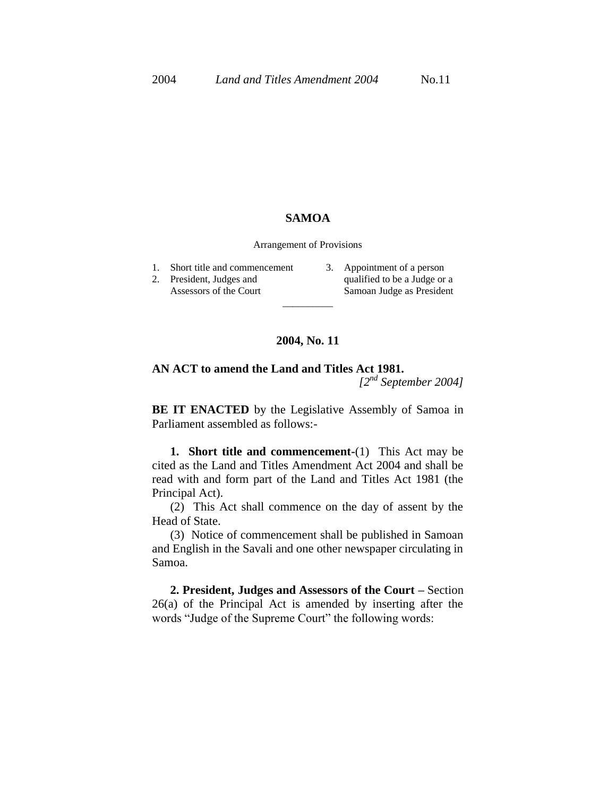## **SAMOA**

Arrangement of Provisions

- 1. Short title and commencement
- 2. President, Judges and Assessors of the Court
- 3. Appointment of a person qualified to be a Judge or a Samoan Judge as President

## **2004, No. 11**

\_\_\_\_\_\_\_\_\_\_

## **AN ACT to amend the Land and Titles Act 1981.**

*[2nd September 2004]*

**BE IT ENACTED** by the Legislative Assembly of Samoa in Parliament assembled as follows:-

**1. Short title and commencement-**(1) This Act may be cited as the Land and Titles Amendment Act 2004 and shall be read with and form part of the Land and Titles Act 1981 (the Principal Act).

(2) This Act shall commence on the day of assent by the Head of State.

(3) Notice of commencement shall be published in Samoan and English in the Savali and one other newspaper circulating in Samoa.

**2. President, Judges and Assessors of the Court –** Section 26(a) of the Principal Act is amended by inserting after the words "Judge of the Supreme Court" the following words: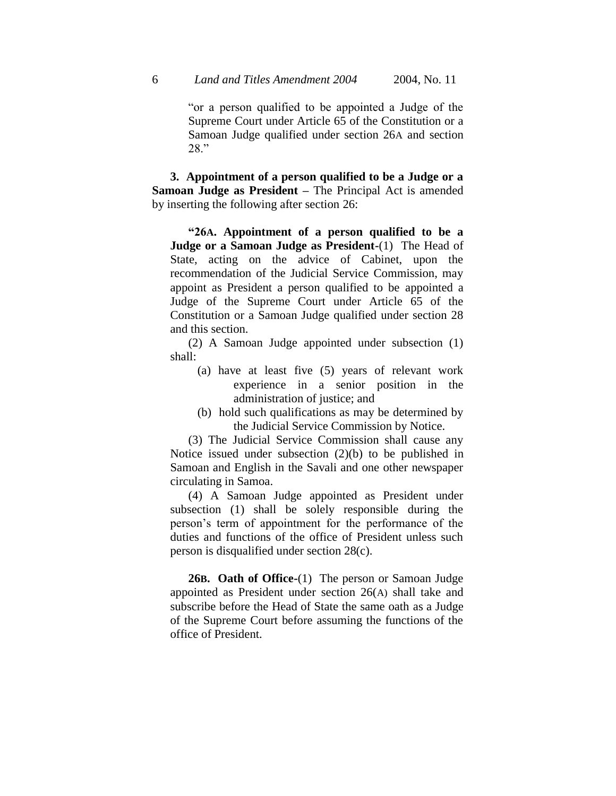"or a person qualified to be appointed a Judge of the Supreme Court under Article 65 of the Constitution or a Samoan Judge qualified under section 26A and section 28."

**3. Appointment of a person qualified to be a Judge or a Samoan Judge as President –** The Principal Act is amended by inserting the following after section 26:

**"26A. Appointment of a person qualified to be a Judge or a Samoan Judge as President-**(1) The Head of State, acting on the advice of Cabinet, upon the recommendation of the Judicial Service Commission, may appoint as President a person qualified to be appointed a Judge of the Supreme Court under Article 65 of the Constitution or a Samoan Judge qualified under section 28 and this section.

(2) A Samoan Judge appointed under subsection (1) shall:

- (a) have at least five (5) years of relevant work experience in a senior position in the administration of justice; and
- (b) hold such qualifications as may be determined by the Judicial Service Commission by Notice.

(3) The Judicial Service Commission shall cause any Notice issued under subsection (2)(b) to be published in Samoan and English in the Savali and one other newspaper circulating in Samoa.

(4) A Samoan Judge appointed as President under subsection (1) shall be solely responsible during the person's term of appointment for the performance of the duties and functions of the office of President unless such person is disqualified under section 28(c).

**26B. Oath of Office-**(1) The person or Samoan Judge appointed as President under section 26(A) shall take and subscribe before the Head of State the same oath as a Judge of the Supreme Court before assuming the functions of the office of President.